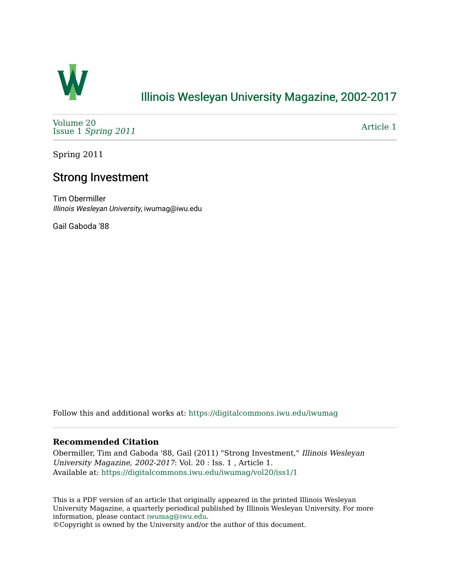

## [Illinois Wesleyan University Magazine, 2002-2017](https://digitalcommons.iwu.edu/iwumag)

[Volume 20](https://digitalcommons.iwu.edu/iwumag/vol20)  Issue 1 [Spring 2011](https://digitalcommons.iwu.edu/iwumag/vol20/iss1)

[Article 1](https://digitalcommons.iwu.edu/iwumag/vol20/iss1/1) 

Spring 2011

### Strong Investment

Tim Obermiller Illinois Wesleyan University, iwumag@iwu.edu

Gail Gaboda '88

Follow this and additional works at: [https://digitalcommons.iwu.edu/iwumag](https://digitalcommons.iwu.edu/iwumag?utm_source=digitalcommons.iwu.edu%2Fiwumag%2Fvol20%2Fiss1%2F1&utm_medium=PDF&utm_campaign=PDFCoverPages) 

### **Recommended Citation**

Obermiller, Tim and Gaboda '88, Gail (2011) "Strong Investment," Illinois Wesleyan University Magazine, 2002-2017: Vol. 20 : Iss. 1 , Article 1. Available at: [https://digitalcommons.iwu.edu/iwumag/vol20/iss1/1](https://digitalcommons.iwu.edu/iwumag/vol20/iss1/1?utm_source=digitalcommons.iwu.edu%2Fiwumag%2Fvol20%2Fiss1%2F1&utm_medium=PDF&utm_campaign=PDFCoverPages)

This is a PDF version of an article that originally appeared in the printed Illinois Wesleyan University Magazine, a quarterly periodical published by Illinois Wesleyan University. For more information, please contact [iwumag@iwu.edu](mailto:iwumag@iwu.edu).

©Copyright is owned by the University and/or the author of this document.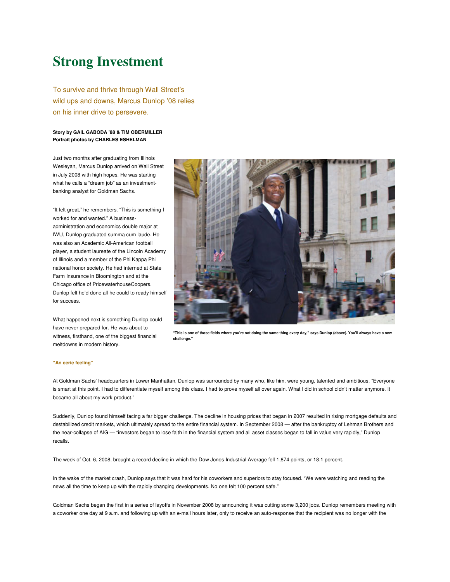# **Strong Investment**

To survive and thrive through Wall Street's wild ups and downs, Marcus Dunlop '08 relies on his inner drive to persevere.

### **Story by GAIL GABODA '88 & TIM OBERMILLER Portrait photos by CHARLES ESHELMAN**

Just two months after graduating from Illinois Wesleyan, Marcus Dunlop arrived on Wall Street in July 2008 with high hopes. He was starting what he calls a "dream job" as an investmentbanking analyst for Goldman Sachs.

"It felt great," he remembers. "This is something I worked for and wanted." A businessadministration and economics double major at IWU, Dunlop graduated summa cum laude. He was also an Academic All-American football player, a student laureate of the Lincoln Academy of Illinois and a member of the Phi Kappa Phi national honor society. He had interned at State Farm Insurance in Bloomington and at the Chicago office of PricewaterhouseCoopers. Dunlop felt he'd done all he could to ready himself for success.

What happened next is something Dunlop could have never prepared for. He was about to witness, firsthand, one of the biggest financial meltdowns in modern history.



**"This is one of those fields where you're not doing the same thing every day," says Dunlop (above). You'll always have a new challenge."**

#### **"An eerie feeling"**

At Goldman Sachs' headquarters in Lower Manhattan, Dunlop was surrounded by many who, like him, were young, talented and ambitious. "Everyone is smart at this point. I had to differentiate myself among this class. I had to prove myself all over again. What I did in school didn't matter anymore. It became all about my work product."

Suddenly, Dunlop found himself facing a far bigger challenge. The decline in housing prices that began in 2007 resulted in rising mortgage defaults and destabilized credit markets, which ultimately spread to the entire financial system. In September 2008 — after the bankruptcy of Lehman Brothers and the near-collapse of AIG — "investors began to lose faith in the financial system and all asset classes began to fall in value very rapidly," Dunlop recalls.

The week of Oct. 6, 2008, brought a record decline in which the Dow Jones Industrial Average fell 1,874 points, or 18.1 percent.

In the wake of the market crash, Dunlop says that it was hard for his coworkers and superiors to stay focused. "We were watching and reading the news all the time to keep up with the rapidly changing developments. No one felt 100 percent safe."

Goldman Sachs began the first in a series of layoffs in November 2008 by announcing it was cutting some 3,200 jobs. Dunlop remembers meeting with a coworker one day at 9 a.m. and following up with an e-mail hours later, only to receive an auto-response that the recipient was no longer with the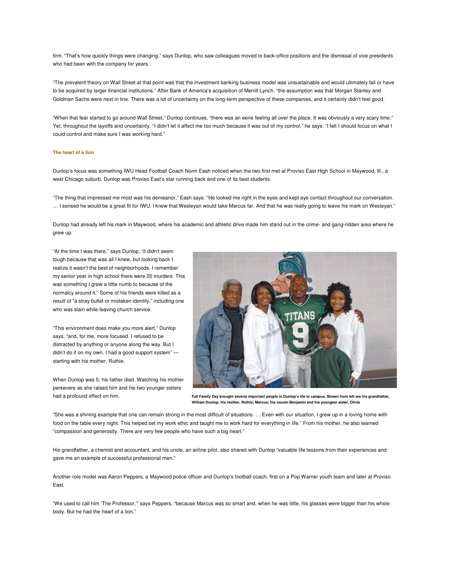firm. "That's how quickly things were changing," says Dunlop, who saw colleagues moved to back-office positions and the dismissal of vice presidents who had been with the company for years.

"The prevalent theory on Wall Street at that point was that the investment banking business model was unsustainable and would ultimately fail or have to be acquired by larger financial institutions." After Bank of America's acquisition of Merrill Lynch, "the assumption was that Morgan Stanley and Goldman Sachs were next in line. There was a lot of uncertainty on the long-term perspective of these companies, and it certainly didn't feel good.

"When that fear started to go around Wall Street," Dunlop continues, "there was an eerie feeling all over the place. It was obviously a very scary time." Yet, throughout the layoffs and uncertainty, "I didn't let it affect me too much because it was out of my control," he says. "I felt I should focus on what I could control and make sure I was working hard."

#### **The heart of a lion**

Dunlop's focus was something IWU Head Football Coach Norm Eash noticed when the two first met at Proviso East High School in Maywood, Ill., a west Chicago suburb. Dunlop was Proviso East's star running back and one of its best students.

"The thing that impressed me most was his demeanor," Eash says. "He looked me right in the eyes and kept eye contact throughout our conversation. … I sensed he would be a great fit for IWU. I knew that Wesleyan would take Marcus far. And that he was really going to leave his mark on Wesleyan."

Dunlop had already left his mark in Maywood, where his academic and athletic drive made him stand out in the crime- and gang-ridden area where he grew up.

"At the time I was there," says Dunlop, "it didn't seem tough because that was all I knew, but looking back I realize it wasn't the best of neighborhoods. I remember my senior year in high school there were 20 murders. This was something I grew a little numb to because of the normalcy around it." Some of his friends were killed as a result of "a stray bullet or mistaken identity," including one who was slain while leaving church service.

"This environment does make you more alert," Dunlop says, "and, for me, more focused. I refused to be distracted by anything or anyone along the way. But I didn't do it on my own. I had a good support system" starting with his mother, Ruthie.



When Dunlop was 5, his father died. Watching his mother persevere as she raised him and his two younger sisters had a profound effect on him.

**Fall Family Day brought several important people in Dunlop's life to campus. Shown from left are his grandfather, William Dunlop; his mother, Ruthie; Marcus; his cousin Benjamin and his youngest sister, Olivia**

"She was a shining example that one can remain strong in the most difficult of situations. … Even with our situation, I grew up in a loving home with food on the table every night. This helped set my work ethic and taught me to work hard for everything in life." From his mother, he also learned "compassion and generosity. There are very few people who have such a big heart."

His grandfather, a chemist and accountant, and his uncle, an airline pilot, also shared with Dunlop "valuable life lessons from their experiences and gave me an example of successful professional men."

Another role model was Aaron Peppers, a Maywood police officer and Dunlop's football coach, first on a Pop Warner youth team and later at Proviso East.

"We used to call him 'The Professor,'" says Peppers, "because Marcus was so smart and, when he was little, his glasses were bigger than his whole body. But he had the heart of a lion."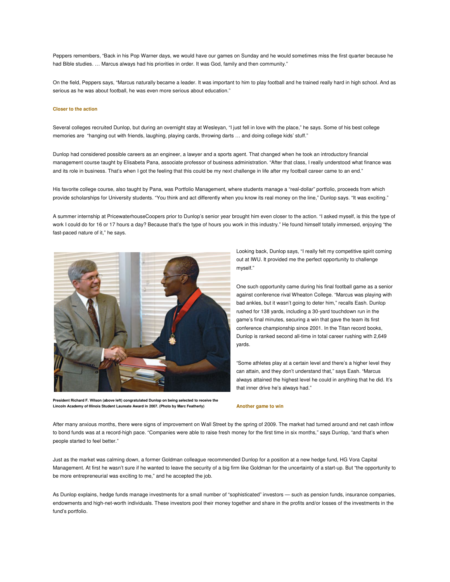Peppers remembers, "Back in his Pop Warner days, we would have our games on Sunday and he would sometimes miss the first quarter because he had Bible studies. … Marcus always had his priorities in order. It was God, family and then community."

On the field, Peppers says, "Marcus naturally became a leader. It was important to him to play football and he trained really hard in high school. And as serious as he was about football, he was even more serious about education."

#### **Closer to the action**

Several colleges recruited Dunlop, but during an overnight stay at Wesleyan, "I just fell in love with the place," he says. Some of his best college memories are "hanging out with friends, laughing, playing cards, throwing darts … and doing college kids' stuff."

Dunlop had considered possible careers as an engineer, a lawyer and a sports agent. That changed when he took an introductory financial management course taught by Elisabeta Pana, associate professor of business administration. "After that class, I really understood what finance was and its role in business. That's when I got the feeling that this could be my next challenge in life after my football career came to an end."

His favorite college course, also taught by Pana, was Portfolio Management, where students manage a "real-dollar" portfolio, proceeds from which provide scholarships for University students. "You think and act differently when you know its real money on the line," Dunlop says. "It was exciting."

A summer internship at PricewaterhouseCoopers prior to Dunlop's senior year brought him even closer to the action. "I asked myself, is this the type of work I could do for 16 or 17 hours a day? Because that's the type of hours you work in this industry." He found himself totally immersed, enjoying "the fast-paced nature of it," he says.



**President Richard F. Wilson (above left) congratulated Dunlop on being selected to receive the Lincoln Academy of Illinois Student Laureate Award in 2007. (Photo by Marc Featherly)**

Looking back, Dunlop says, "I really felt my competitive spirit coming out at IWU. It provided me the perfect opportunity to challenge myself."

One such opportunity came during his final football game as a senior against conference rival Wheaton College. "Marcus was playing with bad ankles, but it wasn't going to deter him," recalls Eash. Dunlop rushed for 138 yards, including a 30-yard touchdown run in the game's final minutes, securing a win that gave the team its first conference championship since 2001. In the Titan record books, Dunlop is ranked second all-time in total career rushing with 2,649 yards.

"Some athletes play at a certain level and there's a higher level they can attain, and they don't understand that," says Eash. "Marcus always attained the highest level he could in anything that he did. It's that inner drive he's always had."

#### **Another game to win**

After many anxious months, there were signs of improvement on Wall Street by the spring of 2009. The market had turned around and net cash inflow to bond funds was at a record-high pace. "Companies were able to raise fresh money for the first time in six months," says Dunlop, "and that's when people started to feel better."

Just as the market was calming down, a former Goldman colleague recommended Dunlop for a position at a new hedge fund, HG Vora Capital Management. At first he wasn't sure if he wanted to leave the security of a big firm like Goldman for the uncertainty of a start-up. But "the opportunity to be more entrepreneurial was exciting to me," and he accepted the job.

As Dunlop explains, hedge funds manage investments for a small number of "sophisticated" investors — such as pension funds, insurance companies, endowments and high-net-worth individuals. These investors pool their money together and share in the profits and/or losses of the investments in the fund's portfolio.